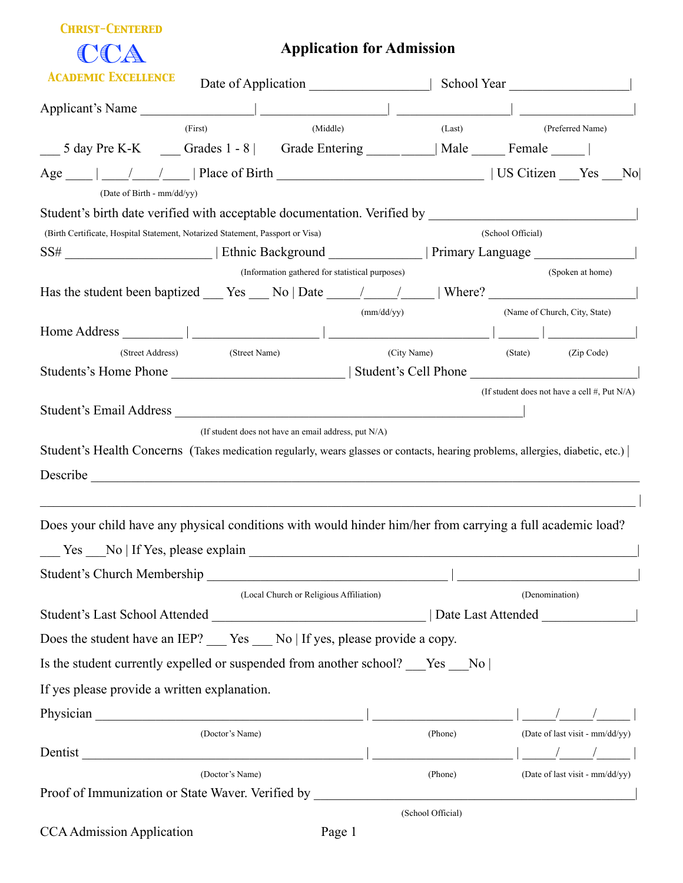|--|--|

CCA

## **Application for Admission**

| <b>ACADEMIC EXCELLENCE</b><br>Date of Application                                                                              |                                                 |                   | School Year and The School Year              |
|--------------------------------------------------------------------------------------------------------------------------------|-------------------------------------------------|-------------------|----------------------------------------------|
| Applicant's Name                                                                                                               |                                                 |                   |                                              |
| (First)                                                                                                                        | (Middle)                                        | (Last)            | (Preferred Name)                             |
| 5 day Pre K-K _____ Grades 1 - 8   Grade Entering __________   Male ______ Female _____                                        |                                                 |                   |                                              |
| (Date of Birth - mm/dd/yy)                                                                                                     |                                                 |                   | No                                           |
| Student's birth date verified with acceptable documentation. Verified by                                                       |                                                 |                   |                                              |
| (Birth Certificate, Hospital Statement, Notarized Statement, Passport or Visa)                                                 |                                                 |                   | (School Official)                            |
|                                                                                                                                |                                                 |                   |                                              |
|                                                                                                                                | (Information gathered for statistical purposes) |                   | (Spoken at home)                             |
| Has the student been baptized $\_\_\_\$ Yes $\_\_\$ No   Date $\_\_\_\_\_\_\$   Where? $\_\_\_\_\_\_\_\$                       |                                                 |                   |                                              |
|                                                                                                                                | (mm/dd/yy)                                      |                   | (Name of Church, City, State)                |
|                                                                                                                                |                                                 |                   |                                              |
| (Street Address)<br>(Street Name)                                                                                              | (City Name)                                     |                   | (Zip Code)<br>(State)                        |
|                                                                                                                                |                                                 |                   |                                              |
|                                                                                                                                |                                                 |                   | (If student does not have a cell #, Put N/A) |
| (If student does not have an email address, put N/A)                                                                           |                                                 |                   |                                              |
| Student's Health Concerns (Takes medication regularly, wears glasses or contacts, hearing problems, allergies, diabetic, etc.) |                                                 |                   |                                              |
|                                                                                                                                |                                                 |                   |                                              |
| Does your child have any physical conditions with would hinder him/her from carrying a full academic load?                     |                                                 |                   |                                              |
| Ves No   If Yes, please explain                                                                                                |                                                 |                   |                                              |
| Student's Church Membership                                                                                                    |                                                 |                   |                                              |
| (Local Church or Religious Affiliation)                                                                                        |                                                 |                   | (Denomination)                               |
|                                                                                                                                |                                                 |                   | Date Last Attended                           |
| Does the student have an IEP? __ Yes __ No   If yes, please provide a copy.                                                    |                                                 |                   |                                              |
| Is the student currently expelled or suspended from another school? ___Yes ___No                                               |                                                 |                   |                                              |
| If yes please provide a written explanation.                                                                                   |                                                 |                   |                                              |
|                                                                                                                                |                                                 |                   |                                              |
| (Doctor's Name)                                                                                                                |                                                 | (Phone)           | (Date of last visit - mm/dd/yy)              |
| Dentist                                                                                                                        |                                                 |                   |                                              |
| (Doctor's Name)                                                                                                                |                                                 | (Phone)           | (Date of last visit - mm/dd/yy)              |
| Proof of Immunization or State Waver. Verified by _______________________________                                              |                                                 |                   |                                              |
|                                                                                                                                |                                                 | (School Official) |                                              |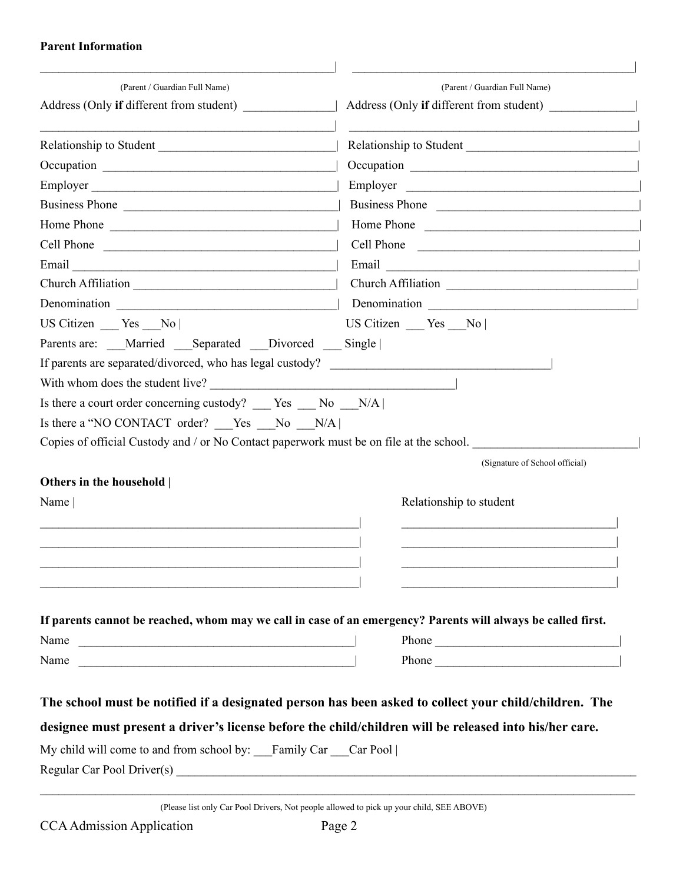## **Parent Information**

| (Parent / Guardian Full Name)<br>Address (Only if different from student)                                                   | (Parent / Guardian Full Name)<br>Address (Only if different from student)                                                                                                                                                           |
|-----------------------------------------------------------------------------------------------------------------------------|-------------------------------------------------------------------------------------------------------------------------------------------------------------------------------------------------------------------------------------|
|                                                                                                                             | Relationship to Student                                                                                                                                                                                                             |
|                                                                                                                             |                                                                                                                                                                                                                                     |
| Employer                                                                                                                    | Employer                                                                                                                                                                                                                            |
| Business Phone                                                                                                              | Business Phone                                                                                                                                                                                                                      |
| Home Phone                                                                                                                  | Home Phone                                                                                                                                                                                                                          |
| Cell Phone                                                                                                                  | Cell Phone                                                                                                                                                                                                                          |
|                                                                                                                             | Email expression and the contract of the contract of the contract of the contract of the contract of the contract of the contract of the contract of the contract of the contract of the contract of the contract of the contr      |
|                                                                                                                             | Church Affiliation                                                                                                                                                                                                                  |
|                                                                                                                             |                                                                                                                                                                                                                                     |
| US Citizen Yes No                                                                                                           | US Citizen Yes No                                                                                                                                                                                                                   |
| Parents are: Married Separated Divorced Single                                                                              |                                                                                                                                                                                                                                     |
| If parents are separated/divorced, who has legal custody?                                                                   |                                                                                                                                                                                                                                     |
| With whom does the student live?                                                                                            |                                                                                                                                                                                                                                     |
| Is there a court order concerning custody? Yes No N/A                                                                       |                                                                                                                                                                                                                                     |
| Is there a "NO CONTACT order? Yes No N/A                                                                                    |                                                                                                                                                                                                                                     |
| Copies of official Custody and / or No Contact paperwork must be on file at the school.                                     |                                                                                                                                                                                                                                     |
|                                                                                                                             | (Signature of School official)                                                                                                                                                                                                      |
| Others in the household                                                                                                     |                                                                                                                                                                                                                                     |
| Name                                                                                                                        | Relationship to student                                                                                                                                                                                                             |
|                                                                                                                             |                                                                                                                                                                                                                                     |
|                                                                                                                             |                                                                                                                                                                                                                                     |
|                                                                                                                             |                                                                                                                                                                                                                                     |
| <u> 1989 - Johann Stoff, deutscher Stoff, der Stoff, der Stoff, der Stoff, der Stoff, der Stoff, der Stoff, der S</u>       |                                                                                                                                                                                                                                     |
|                                                                                                                             |                                                                                                                                                                                                                                     |
|                                                                                                                             | If parents cannot be reached, whom may we call in case of an emergency? Parents will always be called first.                                                                                                                        |
| Name                                                                                                                        | Phone <u>and</u> the contract of the contract of the contract of the contract of the contract of the contract of the contract of the contract of the contract of the contract of the contract of the contract of the contract of th |
| Name<br><u> 1989 - Johann Barn, mars ann an t-Amhain ann an t-Amhain an t-Amhain ann an t-Amhain an t-Amhain ann an t-A</u> | Phone                                                                                                                                                                                                                               |
|                                                                                                                             |                                                                                                                                                                                                                                     |
|                                                                                                                             | The school must be notified if a designated person has been asked to collect your child/children. The                                                                                                                               |
|                                                                                                                             | designee must present a driver's license before the child/children will be released into his/her care.                                                                                                                              |
|                                                                                                                             |                                                                                                                                                                                                                                     |
|                                                                                                                             |                                                                                                                                                                                                                                     |
| My child will come to and from school by: Family Car Car Pool                                                               |                                                                                                                                                                                                                                     |

(Please list only Car Pool Drivers, Not people allowed to pick up your child, SEE ABOVE)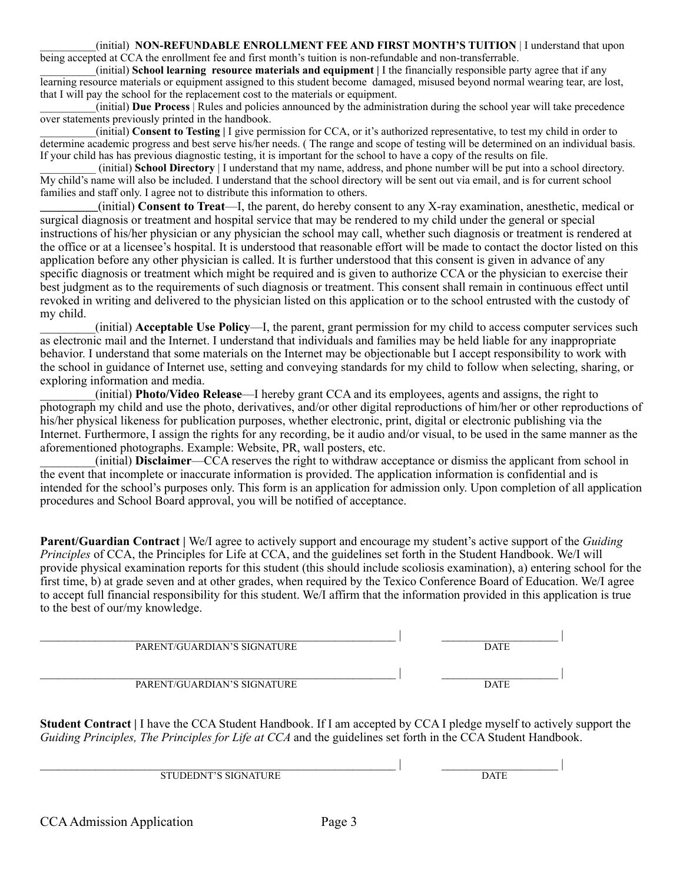\_\_\_\_\_\_\_\_\_\_(initial) **NON-REFUNDABLE ENROLLMENT FEE AND FIRST MONTH'S TUITION** | I understand that upon being accepted at CCA the enrollment fee and first month's tuition is non-refundable and non-transferrable.

\_\_\_\_\_\_\_\_\_\_(initial) **School learning resource materials and equipment |** I the financially responsible party agree that if any learning resource materials or equipment assigned to this student become damaged, misused beyond normal wearing tear, are lost, that I will pay the school for the replacement cost to the materials or equipment.

\_\_\_\_\_\_\_\_\_\_(initial) **Due Process** | Rules and policies announced by the administration during the school year will take precedence over statements previously printed in the handbook.

\_\_\_\_\_\_\_\_\_\_(initial) **Consent to Testing |** I give permission for CCA, or it's authorized representative, to test my child in order to determine academic progress and best serve his/her needs. ( The range and scope of testing will be determined on an individual basis. If your child has has previous diagnostic testing, it is important for the school to have a copy of the results on file.

\_\_\_\_\_\_\_\_\_\_ (initial) **School Directory** | I understand that my name, address, and phone number will be put into a school directory. My child's name will also be included. I understand that the school directory will be sent out via email, and is for current school families and staff only. I agree not to distribute this information to others.

\_\_\_\_\_\_\_\_\_(initial) **Consent to Treat**—I, the parent, do hereby consent to any X-ray examination, anesthetic, medical or surgical diagnosis or treatment and hospital service that may be rendered to my child under the general or special instructions of his/her physician or any physician the school may call, whether such diagnosis or treatment is rendered at the office or at a licensee's hospital. It is understood that reasonable effort will be made to contact the doctor listed on this application before any other physician is called. It is further understood that this consent is given in advance of any specific diagnosis or treatment which might be required and is given to authorize CCA or the physician to exercise their best judgment as to the requirements of such diagnosis or treatment. This consent shall remain in continuous effect until revoked in writing and delivered to the physician listed on this application or to the school entrusted with the custody of my child.

\_\_\_\_\_\_\_\_\_(initial) **Acceptable Use Policy**—I, the parent, grant permission for my child to access computer services such as electronic mail and the Internet. I understand that individuals and families may be held liable for any inappropriate behavior. I understand that some materials on the Internet may be objectionable but I accept responsibility to work with the school in guidance of Internet use, setting and conveying standards for my child to follow when selecting, sharing, or exploring information and media.

\_\_\_\_\_\_\_\_\_(initial) **Photo/Video Release**—I hereby grant CCA and its employees, agents and assigns, the right to photograph my child and use the photo, derivatives, and/or other digital reproductions of him/her or other reproductions of his/her physical likeness for publication purposes, whether electronic, print, digital or electronic publishing via the Internet. Furthermore, I assign the rights for any recording, be it audio and/or visual, to be used in the same manner as the aforementioned photographs. Example: Website, PR, wall posters, etc.

\_\_\_\_\_\_\_\_\_(initial) **Disclaimer**—CCA reserves the right to withdraw acceptance or dismiss the applicant from school in the event that incomplete or inaccurate information is provided. The application information is confidential and is intended for the school's purposes only. This form is an application for admission only. Upon completion of all application procedures and School Board approval, you will be notified of acceptance.

**Parent/Guardian Contract |** We/I agree to actively support and encourage my student's active support of the *Guiding Principles* of CCA, the Principles for Life at CCA, and the guidelines set forth in the Student Handbook. We/I will provide physical examination reports for this student (this should include scoliosis examination), a) entering school for the first time, b) at grade seven and at other grades, when required by the Texico Conference Board of Education. We/I agree to accept full financial responsibility for this student. We/I affirm that the information provided in this application is true to the best of our/my knowledge.

| PARENT/GUARDIAN'S SIGNATURE | <b>DATE</b> |
|-----------------------------|-------------|
| PARENT/GUARDIAN'S SIGNATURE | <b>DATE</b> |

**Student Contract |** I have the CCA Student Handbook. If I am accepted by CCA I pledge myself to actively support the *Guiding Principles, The Principles for Life at CCA* and the guidelines set forth in the CCA Student Handbook.

 $\Box$  , we have the contribution of the contribution of the contribution of the contribution of the contribution of the contribution of the contribution of the contribution of the contribution of the contribution of the co STUDEDNT'S SIGNATURE DATE

CCA Admission Application Page 3